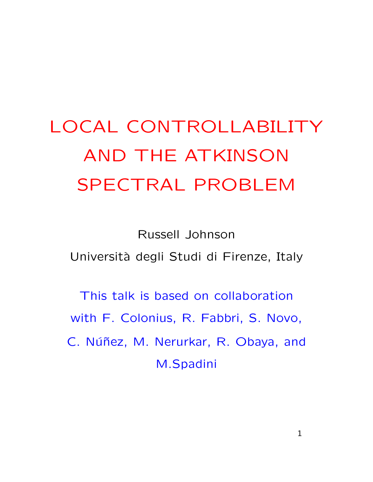## LOCAL CONTROLLABILITY AND THE ATKINSON SPECTRAL PROBLEM

Russell Johnson Universit`a degli Studi di Firenze, Italy

This talk is based on collaboration with F. Colonius, R. Fabbri, S. Novo, C. Núñez, M. Nerurkar, R. Obaya, and M.Spadini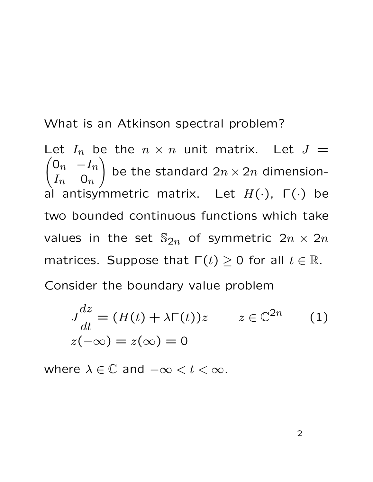What is an Atkinson spectral problem?

 $\begin{pmatrix} 0_n & -I_n \end{pmatrix}$ Let  $I_n$  be the  $n \times n$  unit matrix. Let  $J =$  $I_n$  0n  $\setminus$ be the standard  $2n \times 2n$  dimensional antisymmetric matrix. Let  $H(\cdot)$ ,  $\Gamma(\cdot)$  be two bounded continuous functions which take values in the set  $\mathbb{S}_{2n}$  of symmetric  $2n \times 2n$ matrices. Suppose that  $\Gamma(t) \geq 0$  for all  $t \in \mathbb{R}$ . Consider the boundary value problem

$$
J\frac{dz}{dt} = (H(t) + \lambda \Gamma(t))z \qquad z \in \mathbb{C}^{2n} \qquad (1)
$$
  

$$
z(-\infty) = z(\infty) = 0
$$

where  $\lambda \in \mathbb{C}$  and  $-\infty < t < \infty$ .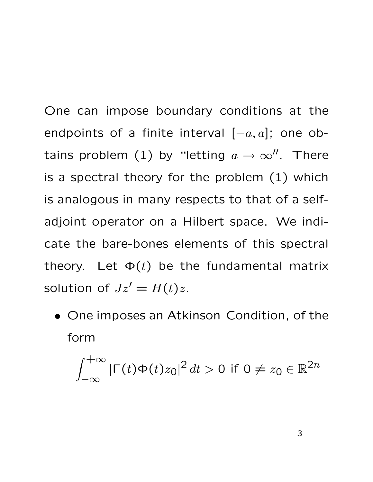One can impose boundary conditions at the endpoints of a finite interval  $[-a, a]$ ; one obtains problem (1) by "letting  $a \to \infty$ ". There is a spectral theory for the problem (1) which is analogous in many respects to that of a selfadjoint operator on a Hilbert space. We indicate the bare-bones elements of this spectral theory. Let  $\Phi(t)$  be the fundamental matrix solution of  $Jz' = H(t)z$ .

• One imposes an **Atkinson Condition**, of the form

$$
\int_{-\infty}^{+\infty} |\Gamma(t)\Phi(t)z_0|^2 dt > 0 \text{ if } 0 \neq z_0 \in \mathbb{R}^{2n}
$$

3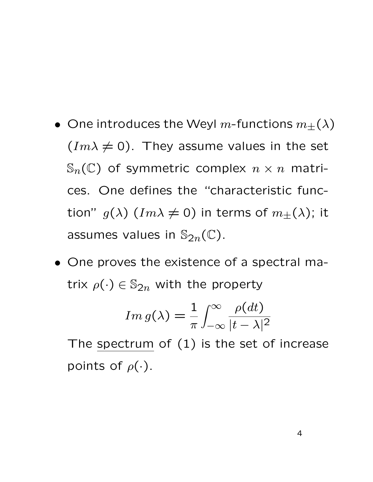- $\bullet\,$  One introduces the Weyl  $m\textrm{-}$ functions  $m_\pm(\lambda)$  $(Im \lambda \neq 0)$ . They assume values in the set  $\mathbb{S}_n(\mathbb{C})$  of symmetric complex  $n \times n$  matrices. One defines the "characteristic function"  $g(\lambda)$   $(Im \lambda \neq 0)$  in terms of  $m_{\pm}(\lambda)$ ; it assumes values in  $\mathbb{S}_{2n}(\mathbb{C})$ .
- One proves the existence of a spectral matrix  $\rho(\cdot) \in \mathbb{S}_{2n}$  with the property

$$
Im\,g(\lambda) = \frac{1}{\pi} \int_{-\infty}^{\infty} \frac{\rho(dt)}{|t - \lambda|^2}
$$

The spectrum of  $(1)$  is the set of increase points of  $\rho(\cdot)$ .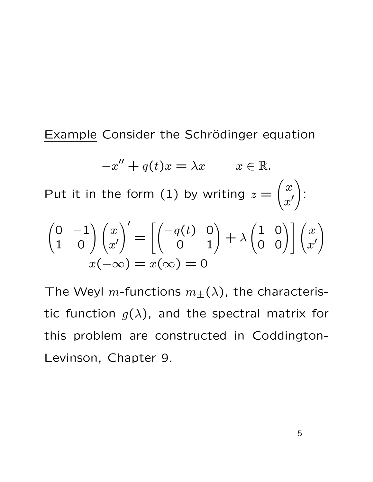Example Consider the Schrödinger equation

$$
-x'' + q(t)x = \lambda x \qquad x \in \mathbb{R}.
$$
  
Put it in the form (1) by writing  $z = \begin{pmatrix} x \\ x' \end{pmatrix}$ :  

$$
\begin{pmatrix} 0 & -1 \\ 1 & 0 \end{pmatrix} \begin{pmatrix} x \\ x' \end{pmatrix}' = \begin{bmatrix} -q(t) & 0 \\ 0 & 1 \end{bmatrix} + \lambda \begin{pmatrix} 1 & 0 \\ 0 & 0 \end{pmatrix} \begin{pmatrix} x \\ x' \end{pmatrix}
$$

$$
x(-\infty) = x(\infty) = 0
$$

The Weyl m-functions  $m_{\pm}(\lambda)$ , the characteristic function  $g(\lambda)$ , and the spectral matrix for this problem are constructed in Coddington-Levinson, Chapter 9.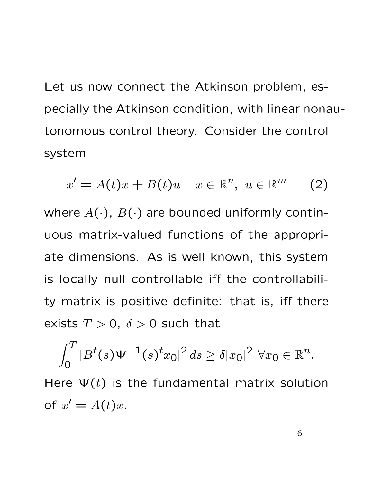Let us now connect the Atkinson problem, especially the Atkinson condition, with linear nonautonomous control theory. Consider the control system

$$
x' = A(t)x + B(t)u \quad x \in \mathbb{R}^n, \ u \in \mathbb{R}^m \qquad (2)
$$

where  $A(\cdot)$ ,  $B(\cdot)$  are bounded uniformly continuous matrix-valued functions of the appropriate dimensions. As is well known, this system is locally null controllable iff the controllability matrix is positive definite: that is, iff there exists  $T > 0$ ,  $\delta > 0$  such that

$$
\int_0^T |B^t(s)\Psi^{-1}(s)^t x_0|^2 ds \ge \delta |x_0|^2 \ \forall x_0 \in \mathbb{R}^n.
$$

Here  $\Psi(t)$  is the fundamental matrix solution of  $x' = A(t)x$ .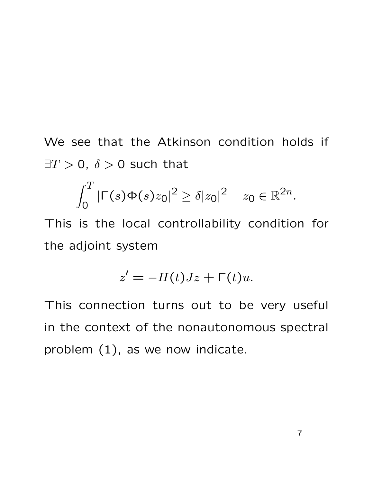We see that the Atkinson condition holds if  $\exists T > 0$ ,  $\delta > 0$  such that

$$
\int_0^T |\Gamma(s)\Phi(s)z_0|^2 \geq \delta |z_0|^2 \quad z_0 \in \mathbb{R}^{2n}.
$$

This is the local controllability condition for the adjoint system

$$
z' = -H(t)Jz + \Gamma(t)u.
$$

This connection turns out to be very useful in the context of the nonautonomous spectral problem (1), as we now indicate.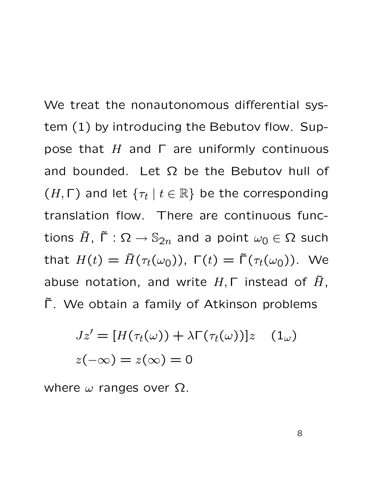We treat the nonautonomous differential system (1) by introducing the Bebutov flow. Suppose that H and  $Γ$  are uniformly continuous and bounded. Let  $\Omega$  be the Bebutov hull of  $(H, \Gamma)$  and let  $\{\tau_t \mid t \in \mathbb{R}\}$  be the corresponding translation flow. There are continuous functions  $\tilde{H}$ ,  $\tilde{\Gamma}$  :  $\Omega \rightarrow \mathbb{S}_{2n}$  and a point  $\omega_0 \in \Omega$  such that  $H(t) = \tilde{H}(\tau_t(\omega_0))$ ,  $\Gamma(t) = \tilde{\Gamma}(\tau_t(\omega_0))$ . We abuse notation, and write  $H, \Gamma$  instead of  $\tilde{H}$ , Γ. We obtain a family of Atkinson problems

$$
Jz' = [H(\tau_t(\omega)) + \lambda \Gamma(\tau_t(\omega))]z \quad (1_\omega)
$$
  

$$
z(-\infty) = z(\infty) = 0
$$

where  $\omega$  ranges over  $\Omega$ .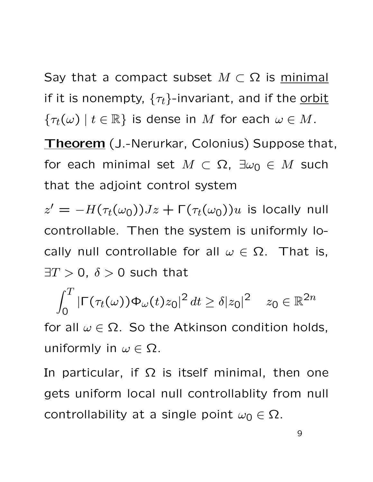Say that a compact subset  $M \subset \Omega$  is minimal if it is nonempty,  $\{\tau_t\}$ -invariant, and if the orbit  $\{\tau_t(\omega) \mid t \in \mathbb{R}\}\$ is dense in M for each  $\omega \in M$ .

Theorem (J.-Nerurkar, Colonius) Suppose that, for each minimal set  $M \subset \Omega$ ,  $\exists \omega_0 \in M$  such that the adjoint control system

 $z' = -H(\tau_t(\omega_0))Jz + \Gamma(\tau_t(\omega_0))u$  is locally null controllable. Then the system is uniformly locally null controllable for all  $\omega \in \Omega$ . That is,  $\exists T > 0$ ,  $\delta > 0$  such that

$$
\int_0^T |\Gamma(\tau_t(\omega))\Phi_{\omega}(t)z_0|^2 dt \ge \delta |z_0|^2 \quad z_0 \in \mathbb{R}^{2n}
$$

for all  $\omega \in \Omega$ . So the Atkinson condition holds, uniformly in  $\omega \in \Omega$ .

In particular, if  $\Omega$  is itself minimal, then one gets uniform local null controllablity from null controllability at a single point  $\omega_0 \in \Omega$ .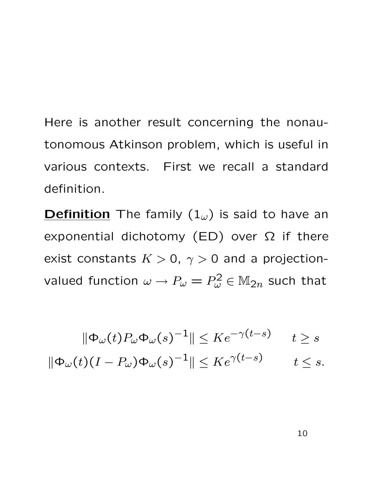Here is another result concerning the nonautonomous Atkinson problem, which is useful in various contexts. First we recall a standard definition.

**Definition** The family  $(1_\omega)$  is said to have an exponential dichotomy (ED) over  $\Omega$  if there exist constants  $K > 0$ ,  $\gamma > 0$  and a projectionvalued function  $\omega \rightarrow P_{\omega}=P_{\omega}^2 \in \mathbb{M}_{2n}$  such that

$$
\|\Phi_{\omega}(t)P_{\omega}\Phi_{\omega}(s)^{-1}\| \leq Ke^{-\gamma(t-s)} \qquad t \geq s
$$

$$
\|\Phi_{\omega}(t)(I - P_{\omega})\Phi_{\omega}(s)^{-1}\| \leq Ke^{\gamma(t-s)} \qquad t \leq s.
$$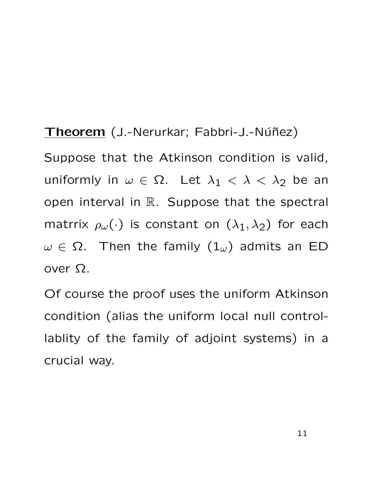Theorem (J.-Nerurkar; Fabbri-J.-Núñez) Suppose that the Atkinson condition is valid, uniformly in  $\omega \in \Omega$ . Let  $\lambda_1 < \lambda < \lambda_2$  be an open interval in R. Suppose that the spectral matrrix  $\rho_{\omega}(\cdot)$  is constant on  $(\lambda_1, \lambda_2)$  for each  $\omega \in \Omega$ . Then the family  $(1_{\omega})$  admits an ED over Ω.

Of course the proof uses the uniform Atkinson condition (alias the uniform local null controllablity of the family of adjoint systems) in a crucial way.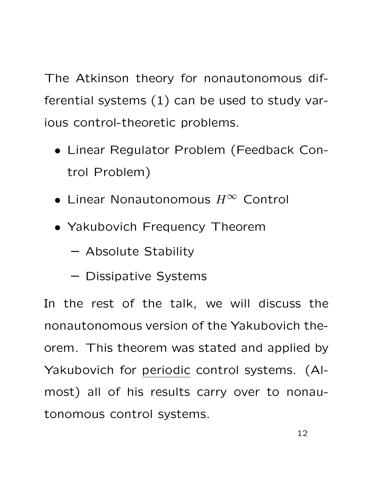The Atkinson theory for nonautonomous differential systems (1) can be used to study various control-theoretic problems.

- Linear Regulator Problem (Feedback Control Problem)
- Linear Nonautonomous  $H^\infty$  Control
- Yakubovich Frequency Theorem
	- Absolute Stability
	- Dissipative Systems

In the rest of the talk, we will discuss the nonautonomous version of the Yakubovich theorem. This theorem was stated and applied by Yakubovich for periodic control systems. (Almost) all of his results carry over to nonautonomous control systems.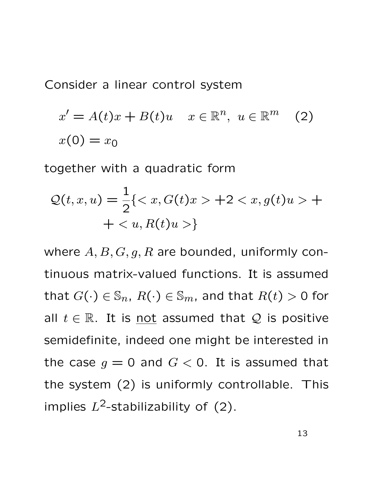Consider a linear control system

$$
x' = A(t)x + B(t)u \quad x \in \mathbb{R}^n, \ u \in \mathbb{R}^m \quad (2)
$$

$$
x(0) = x_0
$$

together with a quadratic form

$$
\mathcal{Q}(t, x, u) = \frac{1}{2} \{ \langle x, G(t)x \rangle + 2 \langle x, g(t)u \rangle + \langle u, R(t)u \rangle \}
$$

where  $A, B, G, g, R$  are bounded, uniformly continuous matrix-valued functions. It is assumed that  $G(\cdot) \in \mathbb{S}_n$ ,  $R(\cdot) \in \mathbb{S}_m$ , and that  $R(t) > 0$  for all  $t \in \mathbb{R}$ . It is <u>not</u> assumed that Q is positive semidefinite, indeed one might be interested in the case  $g = 0$  and  $G < 0$ . It is assumed that the system (2) is uniformly controllable. This implies  $L^2$ -stabilizability of (2).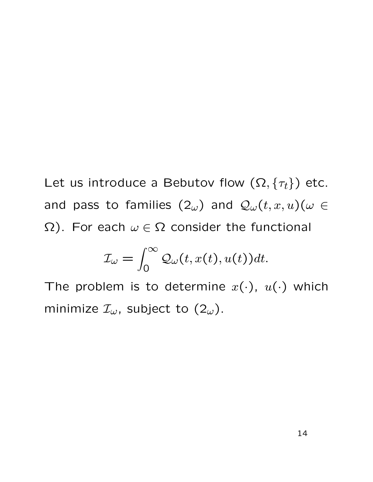Let us introduce a Bebutov flow  $(\Omega, \{\tau_t\})$  etc. and pass to families  $(2\omega)$  and  $\mathcal{Q}_{\omega}(t,x,u)(\omega \in$  $\Omega$ ). For each  $\omega \in \Omega$  consider the functional

$$
\mathcal{I}_{\omega} = \int_0^{\infty} \mathcal{Q}_{\omega}(t, x(t), u(t)) dt.
$$

The problem is to determine  $x(\cdot)$ ,  $u(\cdot)$  which minimize  $\mathcal{I}_{\omega}$ , subject to  $(2_{\omega})$ .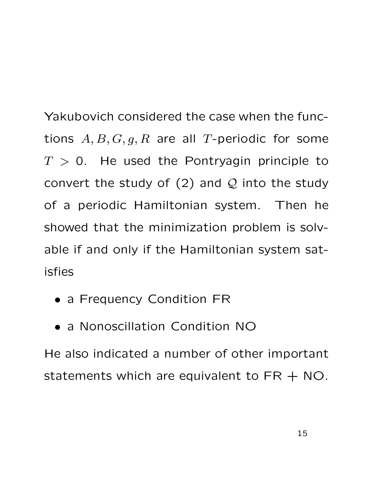Yakubovich considered the case when the functions  $A, B, G, g, R$  are all T-periodic for some  $T > 0$ . He used the Pontryagin principle to convert the study of  $(2)$  and  $Q$  into the study of a periodic Hamiltonian system. Then he showed that the minimization problem is solvable if and only if the Hamiltonian system satisfies

- a Frequency Condition FR
- a Nonoscillation Condition NO

He also indicated a number of other important statements which are equivalent to  $FR + NO$ .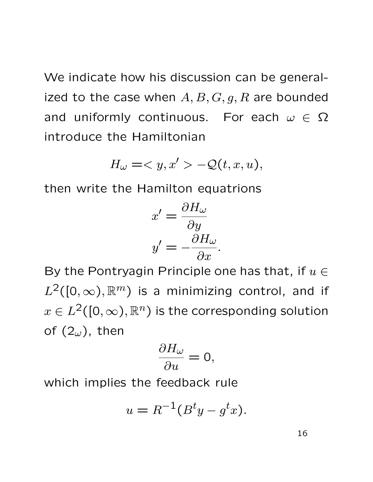We indicate how his discussion can be generalized to the case when  $A, B, G, g, R$  are bounded and uniformly continuous. For each  $\omega \in \Omega$ introduce the Hamiltonian

$$
H_{\omega} = \langle y, x' \rangle - \mathcal{Q}(t, x, u),
$$

then write the Hamilton equatrions

$$
x' = \frac{\partial H_{\omega}}{\partial y}
$$

$$
y' = -\frac{\partial H_{\omega}}{\partial x}.
$$

By the Pontryagin Principle one has that, if  $u \in$  $L^2([0,\infty),\mathbb{R}^m)$  is a minimizing control, and if  $x \in L^2([0,\infty),\mathbb{R}^n)$  is the corresponding solution of  $(2<sub>\omega</sub>)$ , then

$$
\frac{\partial H_{\omega }}{\partial u}=0,
$$

which implies the feedback rule

$$
u = R^{-1}(B^t y - g^t x).
$$

16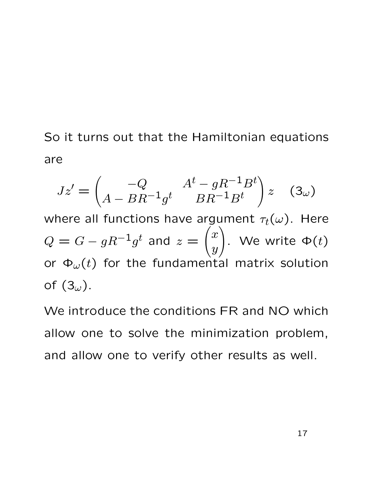So it turns out that the Hamiltonian equations are

$$
Jz' = \begin{pmatrix} -Q & A^t - gR^{-1}B^t \\ A - BR^{-1}g^t & BR^{-1}B^t \end{pmatrix} z \quad (3\omega)
$$

where all functions have argument  $\tau_t(\omega)$ . Here  $Q = G - gR^{-1}g^t$  and  $z =$  $\sqrt{x}$  $\overline{y}$  $\setminus$ . We write  $\Phi(t)$ or  $\Phi_{\omega}(t)$  for the fundamental matrix solution of  $(3<sub>\omega</sub>)$ .

We introduce the conditions FR and NO which allow one to solve the minimization problem, and allow one to verify other results as well.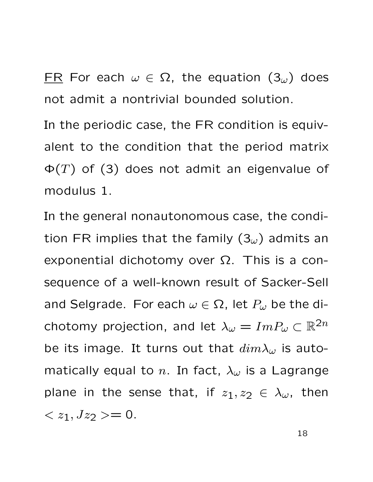FR For each  $\omega \in \Omega$ , the equation  $(3_{\omega})$  does not admit a nontrivial bounded solution.

In the periodic case, the FR condition is equivalent to the condition that the period matrix  $\Phi(T)$  of (3) does not admit an eigenvalue of modulus 1.

In the general nonautonomous case, the condition FR implies that the family  $(3<sub>\omega</sub>)$  admits an exponential dichotomy over Ω. This is a consequence of a well-known result of Sacker-Sell and Selgrade. For each  $\omega \in \Omega$ , let  $P_{\omega}$  be the dichotomy projection, and let  $\lambda_{\omega} = Im P_{\omega} \subset \mathbb{R}^{2n}$ be its image. It turns out that  $dim\lambda_\omega$  is automatically equal to n. In fact,  $\lambda_{\omega}$  is a Lagrange plane in the sense that, if  $z_1, z_2 \in \lambda_\omega$ , then  $\langle z_1, Jz_2 \rangle = 0.$ 

18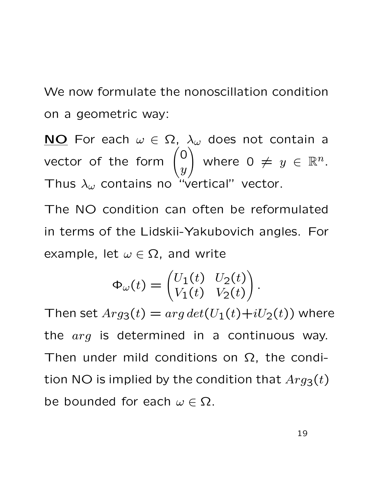We now formulate the nonoscillation condition on a geometric way:

NO For each  $\omega \in \Omega$ ,  $\lambda_{\omega}$  does not contain a vector of the form  $\Big(0\Big)$  $\overline{y}$  $\setminus$ where  $0 \neq y \in \mathbb{R}^n$ . Thus  $\lambda_{\omega}$  contains no "vertical" vector.

The NO condition can often be reformulated in terms of the Lidskii-Yakubovich angles. For example, let  $\omega \in \Omega$ , and write

$$
\Phi_{\omega}(t) = \begin{pmatrix} U_1(t) & U_2(t) \\ V_1(t) & V_2(t) \end{pmatrix}.
$$

Then set  $Arg_3(t) = arg det(U_1(t)+iU_2(t))$  where the arg is determined in a continuous way. Then under mild conditions on  $\Omega$ , the condition NO is implied by the condition that  $Arg_3(t)$ be bounded for each  $\omega \in \Omega$ .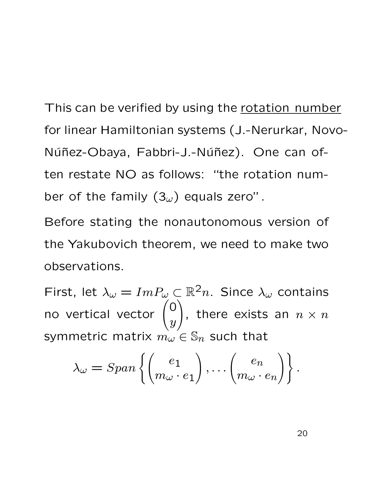This can be verified by using the rotation number for linear Hamiltonian systems (J.-Nerurkar, Novo-Núñez-Obaya, Fabbri-J.-Núñez). One can often restate NO as follows: "the rotation number of the family  $(3<sub>\omega</sub>)$  equals zero".

Before stating the nonautonomous version of the Yakubovich theorem, we need to make two observations.

First, let  $\lambda_{\omega} = Im P_{\omega} \subset \mathbb{R}^2 n$ . Since  $\lambda_{\omega}$  contains no vertical vector  $\begin{pmatrix} 0 & 0 \\ 0 & 0 \\ 0 & 0 \\ 0 & 0 \end{pmatrix}$  $\hat{y}$  $\setminus$ , there exists an  $n \times n$ symmetric matrix  $m_{\omega} \in \mathbb{S}_n$  such that

$$
\lambda_{\omega} = Span\left\{ \begin{pmatrix} e_1 \\ m_{\omega} \cdot e_1 \end{pmatrix}, \dots \begin{pmatrix} e_n \\ m_{\omega} \cdot e_n \end{pmatrix} \right\}.
$$

20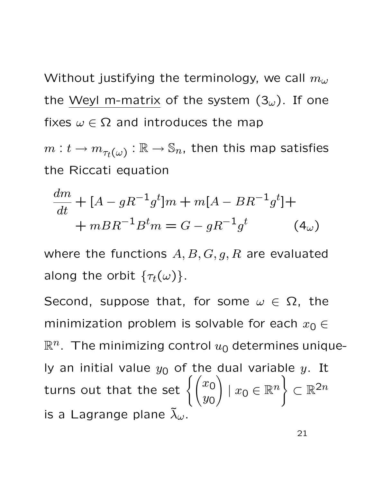Without justifying the terminology, we call  $m_{\omega}$ the Weyl m-matrix of the system  $(3<sub>\omega</sub>)$ . If one fixes  $\omega \in \Omega$  and introduces the map

 $m:t \rightarrow m_{\tau_{t}(\omega)}:\mathbb{R} \rightarrow \mathbb{S}_n,$  then this map satisfies the Riccati equation

$$
\frac{dm}{dt} + [A - gR^{-1}g^{t}]m + m[A - BR^{-1}g^{t}] ++ mBR^{-1}B^{t}m = G - gR^{-1}g^{t}
$$
 (4 <sub>$\omega$ )</sub>

where the functions  $A, B, G, g, R$  are evaluated along the orbit  $\{\tau_t(\omega)\}.$ 

Second, suppose that, for some  $\omega \in \Omega$ , the minimization problem is solvable for each  $x_0 \in$  $\mathbb{R}^n$ . The minimizing control  $u_0$  determines uniquely an initial value  $y_0$  of the dual variable  $y$ . It turns out that the set  $\Big\{\Big(x_0\Big)$  $y_0$  $\setminus$  $|x_0 \in \mathbb{R}^n$ )  $\subset \mathbb{R}^{2n}$ is a Lagrange plane  $\tilde{\lambda}_{\omega}$ .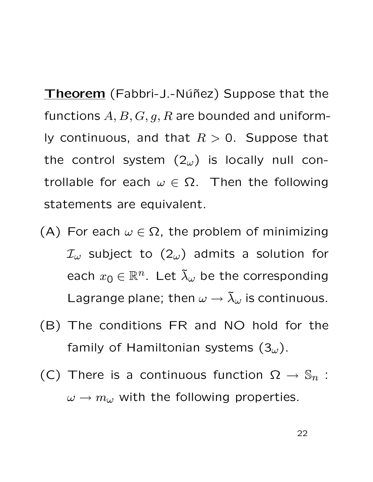Theorem (Fabbri-J.-Núñez) Suppose that the functions  $A, B, G, g, R$  are bounded and uniformly continuous, and that  $R > 0$ . Suppose that the control system  $(2<sub>\omega</sub>)$  is locally null controllable for each  $\omega \in \Omega$ . Then the following statements are equivalent.

- (A) For each  $\omega \in \Omega$ , the problem of minimizing  $\mathcal{I}_{\omega}$  subject to  $(2_{\omega})$  admits a solution for each  $x_0 \in \mathbb{R}^n$ . Let  $\tilde{\lambda}_{\omega}$  be the corresponding Lagrange plane; then  $\omega \rightarrow \tilde{\lambda}_{\omega}$  is continuous.
- (B) The conditions FR and NO hold for the family of Hamiltonian systems  $(3<sub>\omega</sub>)$ .
- (C) There is a continuous function  $\Omega \to \mathbb{S}_n$ :  $\omega \rightarrow m_{\omega}$  with the following properties.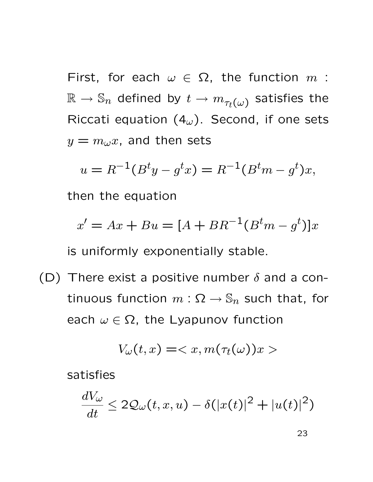First, for each  $\omega \in \Omega$ , the function m:  $\mathbb{R} \to \mathbb{S}_n$  defined by  $t \to m_{\tau_t(\omega)}$  satisfies the Riccati equation  $(4<sub>\omega</sub>)$ . Second, if one sets  $y = m_{\omega}x$ , and then sets

$$
u = R^{-1}(B^t y - g^t x) = R^{-1}(B^t m - g^t)x,
$$

then the equation

$$
x' = Ax + Bu = [A + BR^{-1}(B^tm - g^t)]x
$$

is uniformly exponentially stable.

(D) There exist a positive number  $\delta$  and a continuous function  $m: \Omega \to \mathbb{S}_n$  such that, for each  $\omega \in \Omega$ , the Lyapunov function

$$
V_{\omega}(t,x) = \langle x, m(\tau_t(\omega))x \rangle
$$

satisfies

$$
\frac{dV_{\omega}}{dt} \le 2\mathcal{Q}_{\omega}(t,x,u) - \delta(|x(t)|^2 + |u(t)|^2)
$$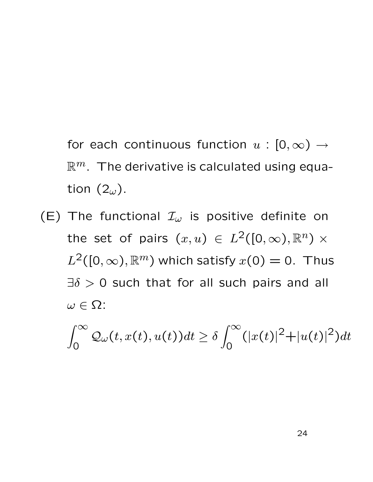for each continuous function  $u : [0, \infty) \rightarrow$  $\mathbb{R}^m$ . The derivative is calculated using equation  $(2_\omega)$ .

(E) The functional  $\mathcal{I}_{\omega}$  is positive definite on the set of pairs  $(x, u) \in L^2([0, \infty), \mathbb{R}^n) \times$  $L^2([0,\infty),\mathbb{R}^m)$  which satisfy  $x(0)=0$ . Thus  $\exists \delta > 0$  such that for all such pairs and all  $\omega \in \Omega$ :

$$
\int_0^\infty \mathcal{Q}_\omega(t, x(t), u(t)) dt \ge \delta \int_0^\infty (|x(t)|^2 + |u(t)|^2) dt
$$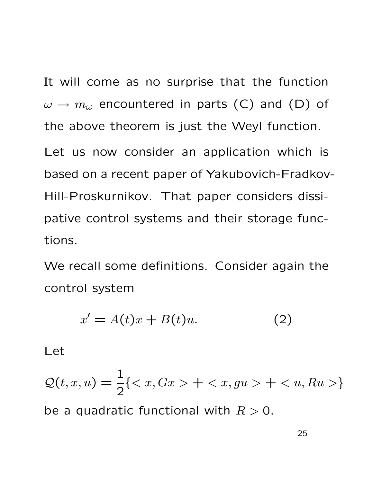It will come as no surprise that the function  $\omega \rightarrow m_{\omega}$  encountered in parts (C) and (D) of the above theorem is just the Weyl function. Let us now consider an application which is based on a recent paper of Yakubovich-Fradkov-Hill-Proskurnikov. That paper considers dissipative control systems and their storage functions.

We recall some definitions. Consider again the control system

$$
x' = A(t)x + B(t)u.
$$
 (2)

Let

 $\mathcal{Q}(t,x,u)=\frac{1}{2}$ 2  ${ < x, Gx > + < x, gu > + < u, Ru >}$ be a quadratic functional with  $R > 0$ .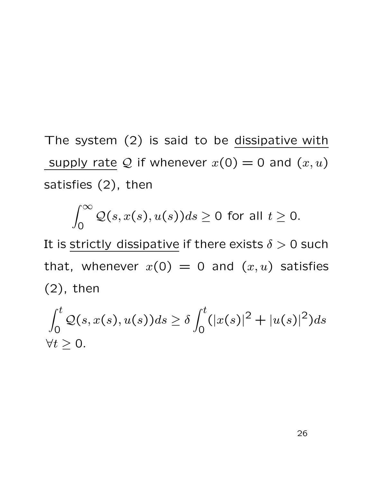The system (2) is said to be dissipative with supply rate Q if whenever  $x(0) = 0$  and  $(x, u)$ satisfies (2), then

$$
\int_0^\infty \mathcal{Q}(s,x(s),u(s))ds \ge 0 \text{ for all } t \ge 0.
$$

It is strictly dissipative if there exists  $\delta > 0$  such that, whenever  $x(0) = 0$  and  $(x, u)$  satisfies (2), then

$$
\int_0^t Q(s, x(s), u(s)) ds \ge \delta \int_0^t (|x(s)|^2 + |u(s)|^2) ds
$$
  
\n $\forall t \ge 0.$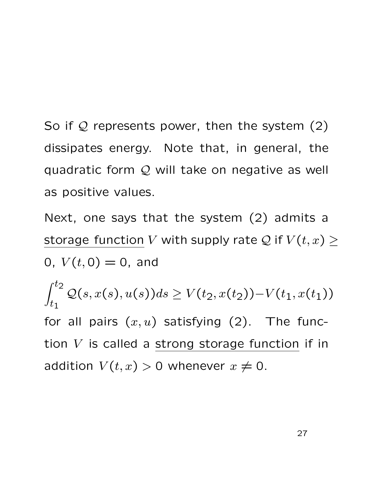So if  $Q$  represents power, then the system  $(2)$ dissipates energy. Note that, in general, the quadratic form  $Q$  will take on negative as well as positive values.

Next, one says that the system (2) admits a storage function V with supply rate Q if  $V(t, x) \geq$ 0,  $V(t, 0) = 0$ , and

 $\int_0^t$  $t_1$  $Q(s, x(s), u(s))ds \geq V(t_2, x(t_2)) - V(t_1, x(t_1))$ for all pairs  $(x, u)$  satisfying  $(2)$ . The function  $V$  is called a strong storage function if in addition  $V(t, x) > 0$  whenever  $x \neq 0$ .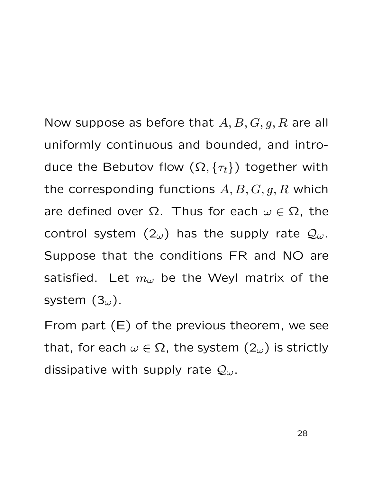Now suppose as before that  $A, B, G, g, R$  are all uniformly continuous and bounded, and introduce the Bebutov flow  $(\Omega, \{\tau_t\})$  together with the corresponding functions  $A, B, G, g, R$  which are defined over  $\Omega$ . Thus for each  $\omega \in \Omega$ , the control system  $(2\omega)$  has the supply rate  $\mathcal{Q}_{\omega}$ . Suppose that the conditions FR and NO are satisfied. Let  $m_{\omega}$  be the Weyl matrix of the system  $(3<sub>\omega</sub>)$ .

From part (E) of the previous theorem, we see that, for each  $\omega \in \Omega$ , the system  $(2_{\omega})$  is strictly dissipative with supply rate  $\mathcal{Q}_{\omega}$ .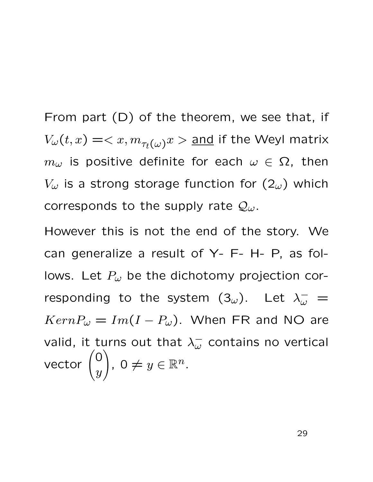From part (D) of the theorem, we see that, if  $V_\omega(t,x)=\text{and if the Weyl matrix}$  $m_{\omega}$  is positive definite for each  $\omega \in \Omega$ , then  $V_{\omega}$  is a strong storage function for  $(2_{\omega})$  which corresponds to the supply rate  $\mathcal{Q}_{\omega}$ .

However this is not the end of the story. We can generalize a result of Y- F- H- P, as follows. Let  $P_{\omega}$  be the dichotomy projection corresponding to the system  $(3\omega)$ . Let  $\lambda^{-}_{\omega}$  $\bar{\omega}$  =  $KernP_{\omega} = Im(I - P_{\omega})$ . When FR and NO are valid, it turns out that  $\lambda_{\omega}^-$  contains no vertical vector  $\Big( 0 \Big)$  $\hat{y}$  $\setminus$ ,  $0 \neq y \in \mathbb{R}^n$ .